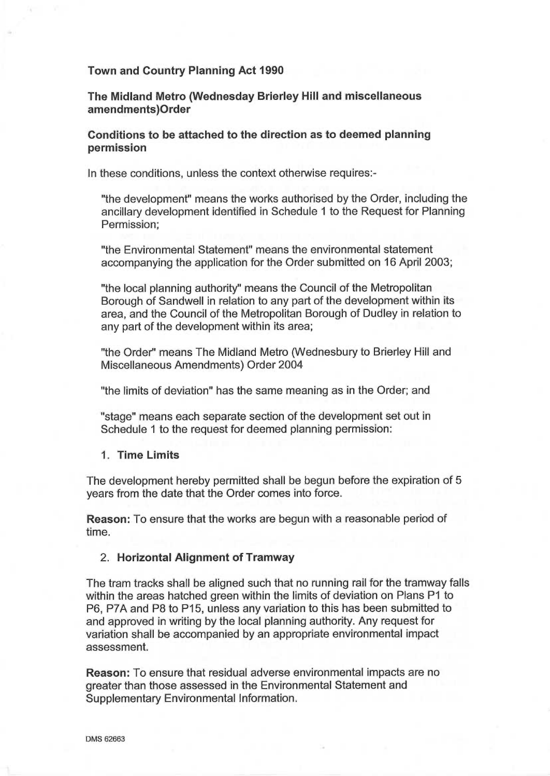#### Town and Country Planning Act 1990

The Midland Metro (Wednesday Brierley Hill and miscellaneous amendments)Order

## Conditions to be attached to the direction as to deemed planning permission

In these conditions, unless the context otherwise requires:-

"the development" means the works authorised by the Order, including the ancillary development identified in Schedule 1 to the Request for Planning Permission;

"the Environmental Statement" means the environmental statement accompanying the application for the Order submitted on 16 April 2003;

"the local planning authority" means the Council of the Metropolitan Borough of Sandwell in relation to any part of the development within its area, and the Council of the Metropolitan Borough of Dudley in relation to any part of the development within its area;

"the Order" means The Midland Metro (Wednesbury to Brierley Hill and Miscellaneous Amendments) Order 2004

"the limits of deviation" has the same meaning as in the Order; and

"stage" means each separate section of the development set out in Schedule 1 to the request for deemed planning permission:

1. Time Limits

The development hereby permitted shall be begun before the expiration of 5 years from the date that the Order comes into force.

Reason: To ensure that the works are begun with a reasonable period of time.

### 2. Horizontal Alignment of Tramway

The tram tracks shall be aligned such that no running rail for the tramway falls within the areas hatched green within the limits of deviation on Plans P1 to P6, P7A and P8 to P15, unless any variation to this has been submitted to and approved in writing by the local planning authority. Any request for variation shall be accompanied by an appropriate environmental impact assessment.

Reason: To ensure that residual adverse environmental impacts are no greater than those assessed in the Environmental Statement and Supplementary Environmental Information.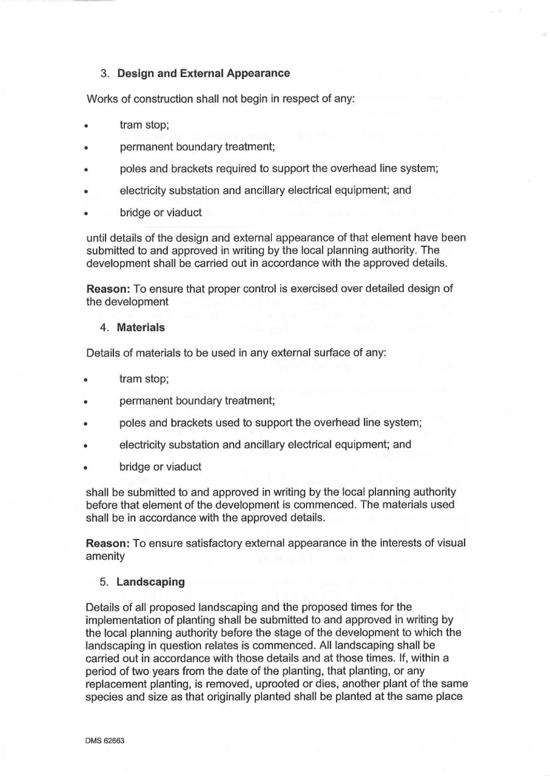# 3. Design and External Appearance

Works of construction shall not begin in respect of any:

- tram stop;
- permanent boundary treatment;
- poles and brackets required to support the overhead line system;
- electricity substation and ancillary electrical equipment; and
- bridge or viaduct

until details of the design and external appearance of that element have been submitted to and approved in writing by the local planning authority. The development shall be carried out in accordance with the approved details.

Reason: To ensure that proper control is exercised over detailed design of the development

## 4. Materials

Details of materials to be used in any external surface of any:

- tram stop;
- permanent boundary treatment;
- poles and brackets used to support the overhead line system;
- electricity substation and ancillary electrical equipment; and
- bridge or viaduct

shall be submitted to and approved in writing by the local planning authority before that element of the development is commenced. The materials used shall be in accordance with the approved details.

Reason: To ensure satisfactory external appearance in the interests of visual amenity

# 5. Landscaping

Details of all proposed landscaping and the proposed times for the implementation of planting shall be submitted to and approved in writing by the local planning authority before the stage of the development to which the landscaping in question relates is commenced. All landscaping shall be carried out in accordance with those details and at those times. If, within <sup>a</sup> period of two years from the date of the planting, that planting, or any replacement planting, is removed, uprooted or dies, another plant of the same species and size as that originally planted shall be planted at the same place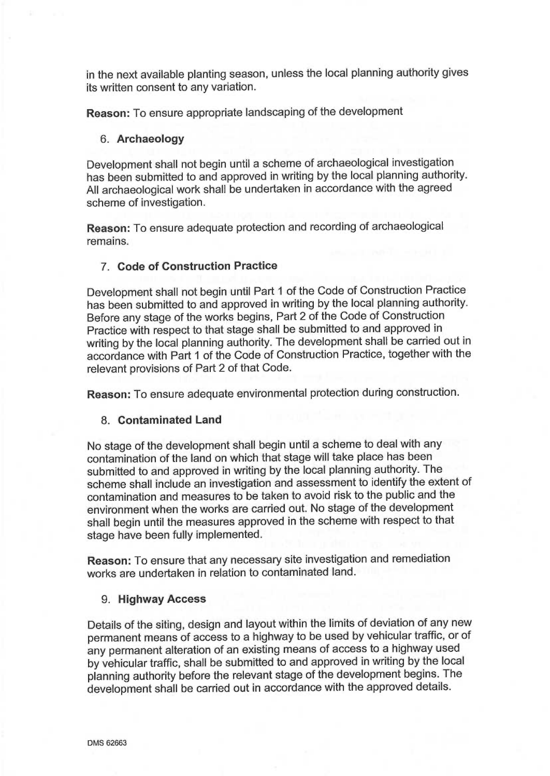in the next available planting season, unless the local planning authority gives its written consent to any variation.

Reason: To ensure appropriate landscaping of the development

## 6. Archaeology

Development shall not begin until a scheme of archaeological investigation has been submitted to and approved in writing by the local planning authority. All archaeological work shall be undertaken in accordance with the agreed scheme of investigation.

Reason: To ensure adequate protection and recording of archaeological remains.

# 7. Code of Construction Practice

Development shall not begin until Part 1 of the Code of Construction Practice has been submitted to and approved in writing by the local planning authority. Before any stage of the works begins, Part 2 of the Code of Construction Practice with respect to that stage shall be submitted to and approved in writing by the local planning authority. The development shall be carried out in accordance with Part 1 of the Code of Construction Practice, together with the relevant provisions of Part 2 of that Code.

Reason: To ensure adequate environmental protection during construction.

#### 8. Contaminated Land

No stage of the development shall begin until a scheme to deal with any contamination of the land on which that stage will take place has been submitted to and approved in writing by the local planning authority. The scheme shall include an investigation and assessment to identify the extent of contamination and measures to be taken to avoid risk to the public and the environment when the works are carried out. No stage of the development shall begin until the measures approved in the scheme with respect to that stage have been fully implemented.

Reason: To ensure that any necessary site investigation and remediation works are undertaken in relation to contaminated land.

## 9. Highway Access

Details of the siting, design and layout within the limits of deviation of any new permanent means of access to a highway to be used by vehicular traffic, or of any permanent alteration of an existing means of access to a highway used by vehicular traffic, shall be submitted to and approved in writing by the local planning authority before the relevant stage of the development begins. The development shall be carried out in accordance with the approved details.